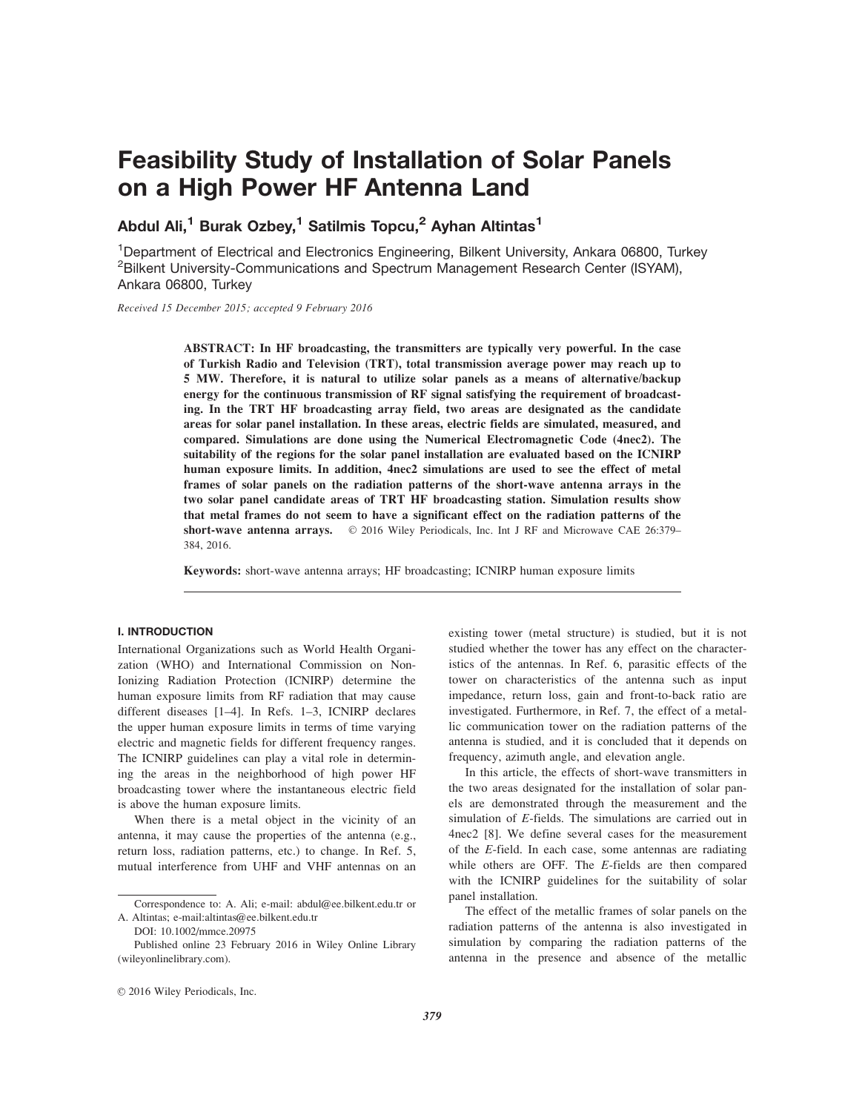# Feasibility Study of Installation of Solar Panels on a High Power HF Antenna Land

Abdul Ali,<sup>1</sup> Burak Ozbey,<sup>1</sup> Satilmis Topcu,<sup>2</sup> Ayhan Altintas<sup>1</sup>

<sup>1</sup>Department of Electrical and Electronics Engineering, Bilkent University, Ankara 06800, Turkey <sup>2</sup> Bilkent University-Communications and Spectrum Management Research Center (ISYAM), Ankara 06800, Turkey

Received 15 December 2015; accepted 9 February 2016

ABSTRACT: In HF broadcasting, the transmitters are typically very powerful. In the case of Turkish Radio and Television (TRT), total transmission average power may reach up to 5 MW. Therefore, it is natural to utilize solar panels as a means of alternative/backup energy for the continuous transmission of RF signal satisfying the requirement of broadcasting. In the TRT HF broadcasting array field, two areas are designated as the candidate areas for solar panel installation. In these areas, electric fields are simulated, measured, and compared. Simulations are done using the Numerical Electromagnetic Code (4nec2). The suitability of the regions for the solar panel installation are evaluated based on the ICNIRP human exposure limits. In addition, 4nec2 simulations are used to see the effect of metal frames of solar panels on the radiation patterns of the short-wave antenna arrays in the two solar panel candidate areas of TRT HF broadcasting station. Simulation results show that metal frames do not seem to have a significant effect on the radiation patterns of the short-wave antenna arrays.  $\circ$  2016 Wiley Periodicals, Inc. Int J RF and Microwave CAE 26:379– 384, 2016.

Keywords: short-wave antenna arrays; HF broadcasting; ICNIRP human exposure limits

### I. INTRODUCTION

International Organizations such as World Health Organization (WHO) and International Commission on Non-Ionizing Radiation Protection (ICNIRP) determine the human exposure limits from RF radiation that may cause different diseases [1–4]. In Refs. 1–3, ICNIRP declares the upper human exposure limits in terms of time varying electric and magnetic fields for different frequency ranges. The ICNIRP guidelines can play a vital role in determining the areas in the neighborhood of high power HF broadcasting tower where the instantaneous electric field is above the human exposure limits.

When there is a metal object in the vicinity of an antenna, it may cause the properties of the antenna (e.g., return loss, radiation patterns, etc.) to change. In Ref. 5, mutual interference from UHF and VHF antennas on an

existing tower (metal structure) is studied, but it is not studied whether the tower has any effect on the characteristics of the antennas. In Ref. 6, parasitic effects of the tower on characteristics of the antenna such as input impedance, return loss, gain and front-to-back ratio are investigated. Furthermore, in Ref. 7, the effect of a metallic communication tower on the radiation patterns of the antenna is studied, and it is concluded that it depends on frequency, azimuth angle, and elevation angle.

In this article, the effects of short-wave transmitters in the two areas designated for the installation of solar panels are demonstrated through the measurement and the simulation of E-fields. The simulations are carried out in 4nec2 [8]. We define several cases for the measurement of the E-field. In each case, some antennas are radiating while others are OFF. The E-fields are then compared with the ICNIRP guidelines for the suitability of solar panel installation.

The effect of the metallic frames of solar panels on the radiation patterns of the antenna is also investigated in simulation by comparing the radiation patterns of the antenna in the presence and absence of the metallic

Correspondence to: A. Ali; e-mail: abdul@ee.bilkent.edu.tr or A. Altintas; e-mail:altintas@ee.bilkent.edu.tr

DOI: 10.1002/mmce.20975

Published online 23 February 2016 in Wiley Online Library (wileyonlinelibrary.com).

 $© 2016 Wiley Periodicals, Inc.$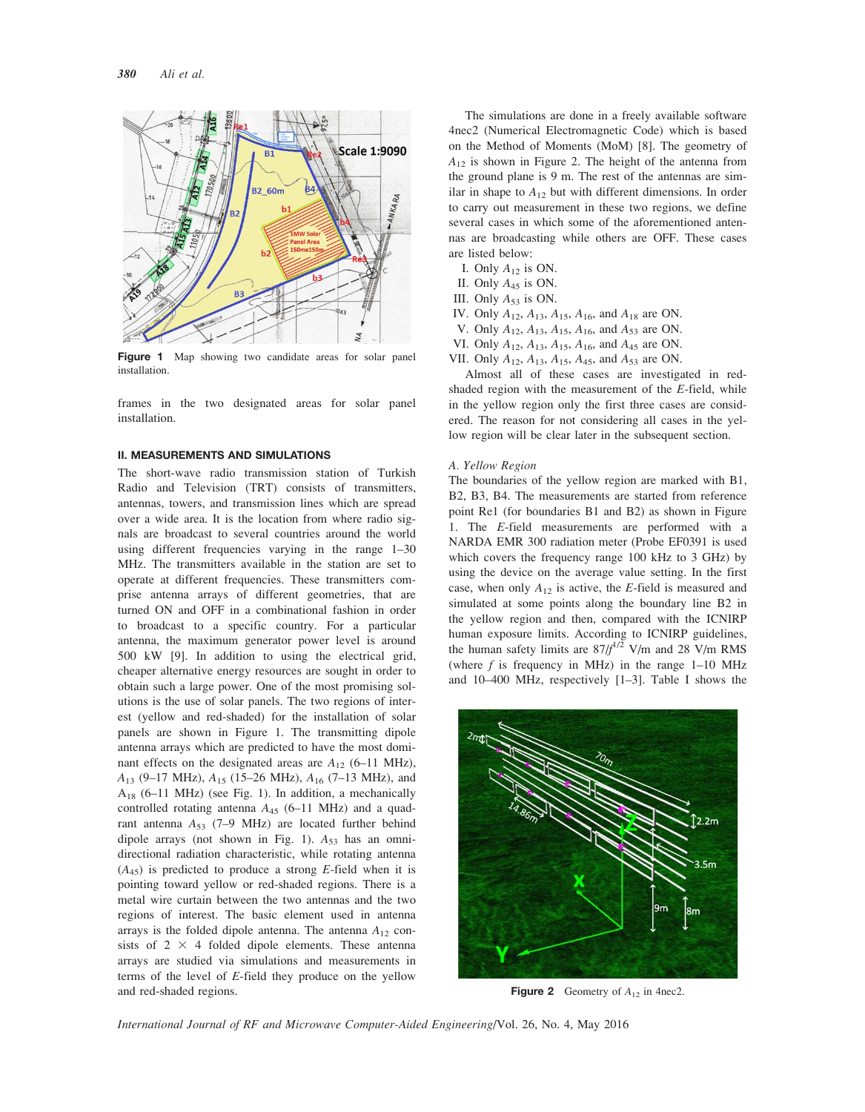

Figure 1 Map showing two candidate areas for solar panel installation.

frames in the two designated areas for solar panel installation.

### II. MEASUREMENTS AND SIMULATIONS

The short-wave radio transmission station of Turkish Radio and Television (TRT) consists of transmitters, antennas, towers, and transmission lines which are spread over a wide area. It is the location from where radio signals are broadcast to several countries around the world using different frequencies varying in the range 1–30 MHz. The transmitters available in the station are set to operate at different frequencies. These transmitters comprise antenna arrays of different geometries, that are turned ON and OFF in a combinational fashion in order to broadcast to a specific country. For a particular antenna, the maximum generator power level is around 500 kW [9]. In addition to using the electrical grid, cheaper alternative energy resources are sought in order to obtain such a large power. One of the most promising solutions is the use of solar panels. The two regions of interest (yellow and red-shaded) for the installation of solar panels are shown in Figure 1. The transmitting dipole antenna arrays which are predicted to have the most dominant effects on the designated areas are  $A_{12}$  (6–11 MHz),  $A_{13}$  (9–17 MHz),  $A_{15}$  (15–26 MHz),  $A_{16}$  (7–13 MHz), and  $A_{18}$  (6–11 MHz) (see Fig. 1). In addition, a mechanically controlled rotating antenna  $A_{45}$  (6–11 MHz) and a quadrant antenna  $A_{53}$  (7–9 MHz) are located further behind dipole arrays (not shown in Fig. 1).  $A_{53}$  has an omnidirectional radiation characteristic, while rotating antenna  $(A_{45})$  is predicted to produce a strong E-field when it is pointing toward yellow or red-shaded regions. There is a metal wire curtain between the two antennas and the two regions of interest. The basic element used in antenna arrays is the folded dipole antenna. The antenna  $A_{12}$  consists of  $2 \times 4$  folded dipole elements. These antenna arrays are studied via simulations and measurements in terms of the level of  $E$ -field they produce on the yellow and red-shaded regions.

The simulations are done in a freely available software 4nec2 (Numerical Electromagnetic Code) which is based on the Method of Moments (MoM) [8]. The geometry of  $A_{12}$  is shown in Figure 2. The height of the antenna from the ground plane is 9 m. The rest of the antennas are similar in shape to  $A_{12}$  but with different dimensions. In order to carry out measurement in these two regions, we define several cases in which some of the aforementioned antennas are broadcasting while others are OFF. These cases are listed below:

- I. Only  $A_{12}$  is ON.
- II. Only  $A_{45}$  is ON.
- III. Only  $A_{53}$  is ON.
- IV. Only  $A_{12}$ ,  $A_{13}$ ,  $A_{15}$ ,  $A_{16}$ , and  $A_{18}$  are ON.
- V. Only  $A_{12}$ ,  $A_{13}$ ,  $A_{15}$ ,  $A_{16}$ , and  $A_{53}$  are ON.
- VI. Only  $A_{12}$ ,  $A_{13}$ ,  $A_{15}$ ,  $A_{16}$ , and  $A_{45}$  are ON.
- VII. Only  $A_{12}$ ,  $A_{13}$ ,  $A_{15}$ ,  $A_{45}$ , and  $A_{53}$  are ON.

Almost all of these cases are investigated in redshaded region with the measurement of the E-field, while in the yellow region only the first three cases are considered. The reason for not considering all cases in the yellow region will be clear later in the subsequent section.

#### A. Yellow Region

The boundaries of the yellow region are marked with B1, B2, B3, B4. The measurements are started from reference point Re1 (for boundaries B1 and B2) as shown in Figure 1. The E-field measurements are performed with a NARDA EMR 300 radiation meter (Probe EF0391 is used which covers the frequency range 100 kHz to 3 GHz) by using the device on the average value setting. In the first case, when only  $A_{12}$  is active, the E-field is measured and simulated at some points along the boundary line B2 in the yellow region and then, compared with the ICNIRP human exposure limits. According to ICNIRP guidelines, the human safety limits are  $87/f^{1/2}$  V/m and 28 V/m RMS (where  $f$  is frequency in MHz) in the range  $1-10$  MHz and 10–400 MHz, respectively [1–3]. Table I shows the



**Figure 2** Geometry of  $A_{12}$  in 4nec2.

International Journal of RF and Microwave Computer-Aided Engineering/Vol. 26, No. 4, May 2016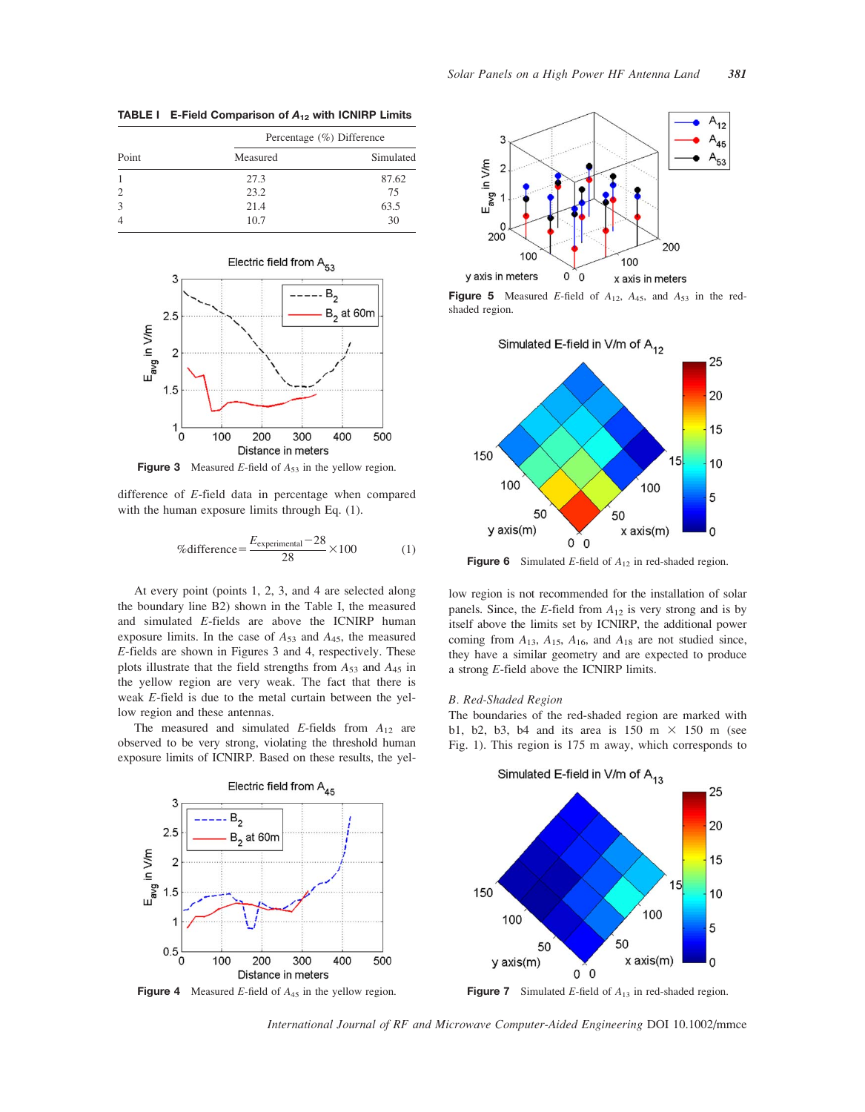Point Percentage (%) Difference Measured Simulated 1 27.3 87.62 2 23.2 75 3 21.4 63.5 4 10.7 30

TABLE I E-Field Comparison of  $A_{12}$  with ICNIRP Limits



**Figure 3** Measured E-field of  $A_{53}$  in the yellow region.

difference of E-field data in percentage when compared with the human exposure limits through Eq. (1).

$$
\% difference = \frac{E_{\text{experimental}} - 28}{28} \times 100 \tag{1}
$$

At every point (points 1, 2, 3, and 4 are selected along the boundary line B2) shown in the Table I, the measured and simulated E-fields are above the ICNIRP human exposure limits. In the case of  $A_{53}$  and  $A_{45}$ , the measured E-fields are shown in Figures 3 and 4, respectively. These plots illustrate that the field strengths from  $A_{53}$  and  $A_{45}$  in the yellow region are very weak. The fact that there is weak E-field is due to the metal curtain between the yellow region and these antennas.

The measured and simulated E-fields from  $A_{12}$  are observed to be very strong, violating the threshold human exposure limits of ICNIRP. Based on these results, the yel-



**Figure 5** Measured E-field of  $A_{12}$ ,  $A_{45}$ , and  $A_{53}$  in the redshaded region.



**Figure 6** Simulated E-field of  $A_{12}$  in red-shaded region.

low region is not recommended for the installation of solar panels. Since, the E-field from  $A_{12}$  is very strong and is by itself above the limits set by ICNIRP, the additional power coming from  $A_{13}$ ,  $A_{15}$ ,  $A_{16}$ , and  $A_{18}$  are not studied since, they have a similar geometry and are expected to produce a strong E-field above the ICNIRP limits.

## B. Red-Shaded Region

The boundaries of the red-shaded region are marked with b1, b2, b3, b4 and its area is 150 m  $\times$  150 m (see Fig. 1). This region is 175 m away, which corresponds to



International Journal of RF and Microwave Computer-Aided Engineering DOI 10.1002/mmce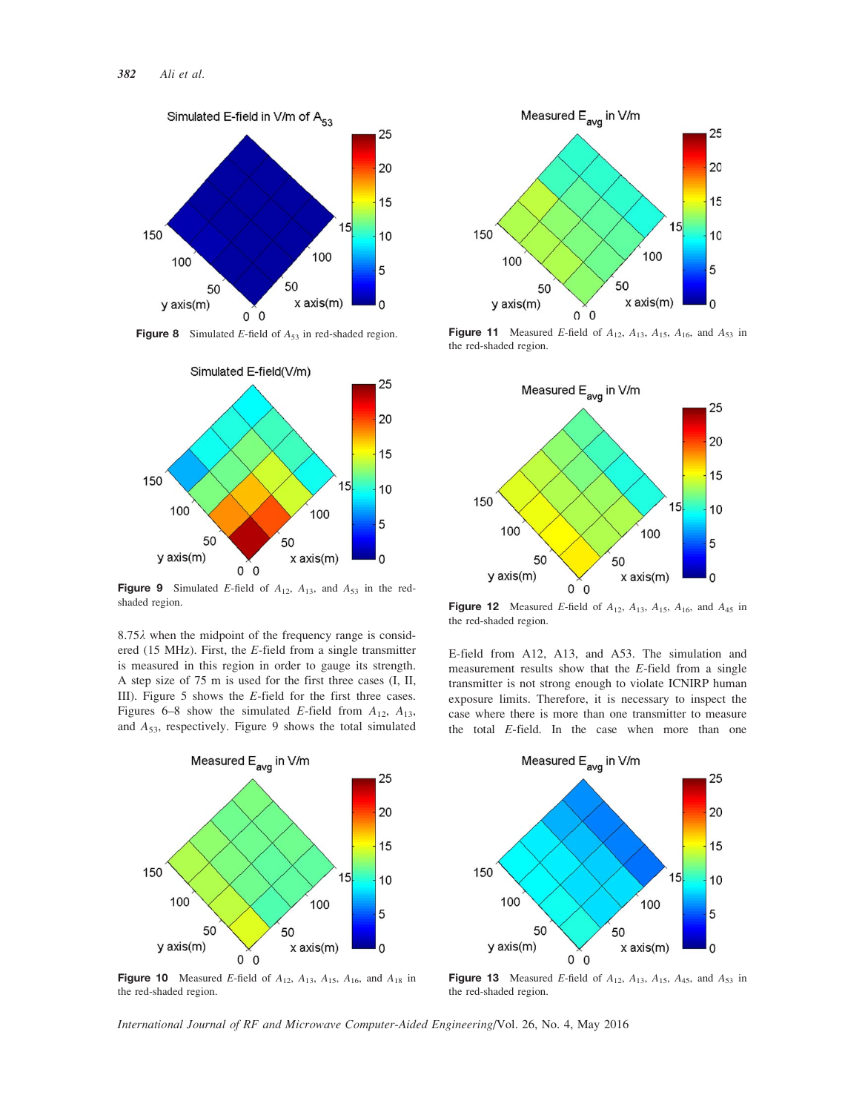

**Figure 8** Simulated E-field of  $A_{53}$  in red-shaded region.



**Figure 9** Simulated E-field of  $A_{12}$ ,  $A_{13}$ , and  $A_{53}$  in the redshaded region.

 $8.75\lambda$  when the midpoint of the frequency range is considered (15 MHz). First, the E-field from a single transmitter is measured in this region in order to gauge its strength. A step size of 75 m is used for the first three cases (I, II, III). Figure 5 shows the E-field for the first three cases. Figures 6–8 show the simulated E-field from  $A_{12}$ ,  $A_{13}$ , and  $A_{53}$ , respectively. Figure 9 shows the total simulated



Figure 10 Measured E-field of  $A_{12}$ ,  $A_{13}$ ,  $A_{15}$ ,  $A_{16}$ , and  $A_{18}$  in the red-shaded region.



Figure 11 Measured E-field of  $A_{12}$ ,  $A_{13}$ ,  $A_{15}$ ,  $A_{16}$ , and  $A_{53}$  in the red-shaded region.



**Figure 12** Measured E-field of  $A_{12}$ ,  $A_{13}$ ,  $A_{15}$ ,  $A_{16}$ , and  $A_{45}$  in the red-shaded region.

E-field from A12, A13, and A53. The simulation and measurement results show that the E-field from a single transmitter is not strong enough to violate ICNIRP human exposure limits. Therefore, it is necessary to inspect the case where there is more than one transmitter to measure the total E-field. In the case when more than one



**Figure 13** Measured E-field of  $A_{12}$ ,  $A_{13}$ ,  $A_{15}$ ,  $A_{45}$ , and  $A_{53}$  in the red-shaded region.

International Journal of RF and Microwave Computer-Aided Engineering/Vol. 26, No. 4, May 2016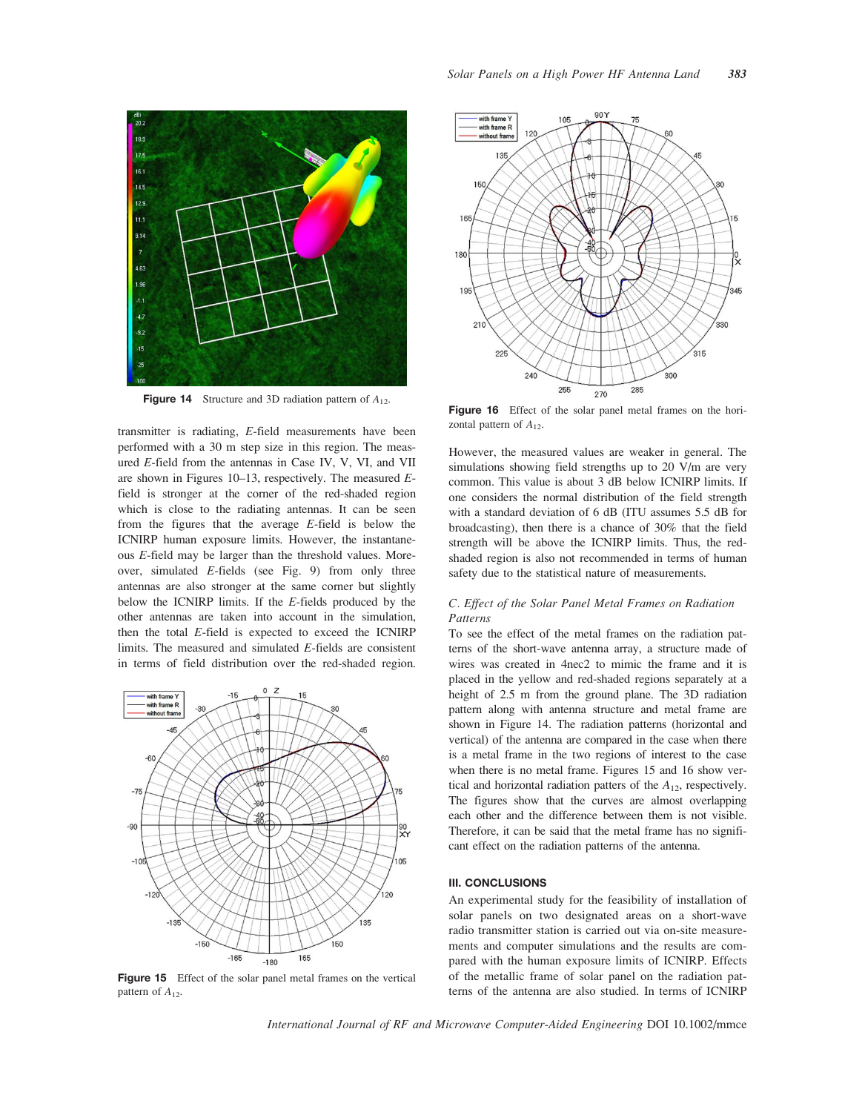

**Figure 14** Structure and 3D radiation pattern of  $A_{12}$ .

transmitter is radiating, E-field measurements have been performed with a 30 m step size in this region. The measured E-field from the antennas in Case IV, V, VI, and VII are shown in Figures  $10-13$ , respectively. The measured  $E$ field is stronger at the corner of the red-shaded region which is close to the radiating antennas. It can be seen from the figures that the average E-field is below the ICNIRP human exposure limits. However, the instantaneous E-field may be larger than the threshold values. Moreover, simulated  $E$ -fields (see Fig. 9) from only three antennas are also stronger at the same corner but slightly below the ICNIRP limits. If the E-fields produced by the other antennas are taken into account in the simulation, then the total E-field is expected to exceed the ICNIRP limits. The measured and simulated E-fields are consistent in terms of field distribution over the red-shaded region.



Figure 15 Effect of the solar panel metal frames on the vertical pattern of  $A_{12}$ .



Figure 16 Effect of the solar panel metal frames on the horizontal pattern of  $A_{12}$ .

However, the measured values are weaker in general. The simulations showing field strengths up to 20 V/m are very common. This value is about 3 dB below ICNIRP limits. If one considers the normal distribution of the field strength with a standard deviation of 6 dB (ITU assumes 5.5 dB for broadcasting), then there is a chance of 30% that the field strength will be above the ICNIRP limits. Thus, the redshaded region is also not recommended in terms of human safety due to the statistical nature of measurements.

# C. Effect of the Solar Panel Metal Frames on Radiation Patterns

To see the effect of the metal frames on the radiation patterns of the short-wave antenna array, a structure made of wires was created in 4nec2 to mimic the frame and it is placed in the yellow and red-shaded regions separately at a height of 2.5 m from the ground plane. The 3D radiation pattern along with antenna structure and metal frame are shown in Figure 14. The radiation patterns (horizontal and vertical) of the antenna are compared in the case when there is a metal frame in the two regions of interest to the case when there is no metal frame. Figures 15 and 16 show vertical and horizontal radiation patters of the  $A_{12}$ , respectively. The figures show that the curves are almost overlapping each other and the difference between them is not visible. Therefore, it can be said that the metal frame has no significant effect on the radiation patterns of the antenna.

## III. CONCLUSIONS

An experimental study for the feasibility of installation of solar panels on two designated areas on a short-wave radio transmitter station is carried out via on-site measurements and computer simulations and the results are compared with the human exposure limits of ICNIRP. Effects of the metallic frame of solar panel on the radiation patterns of the antenna are also studied. In terms of ICNIRP

International Journal of RF and Microwave Computer-Aided Engineering DOI 10.1002/mmce